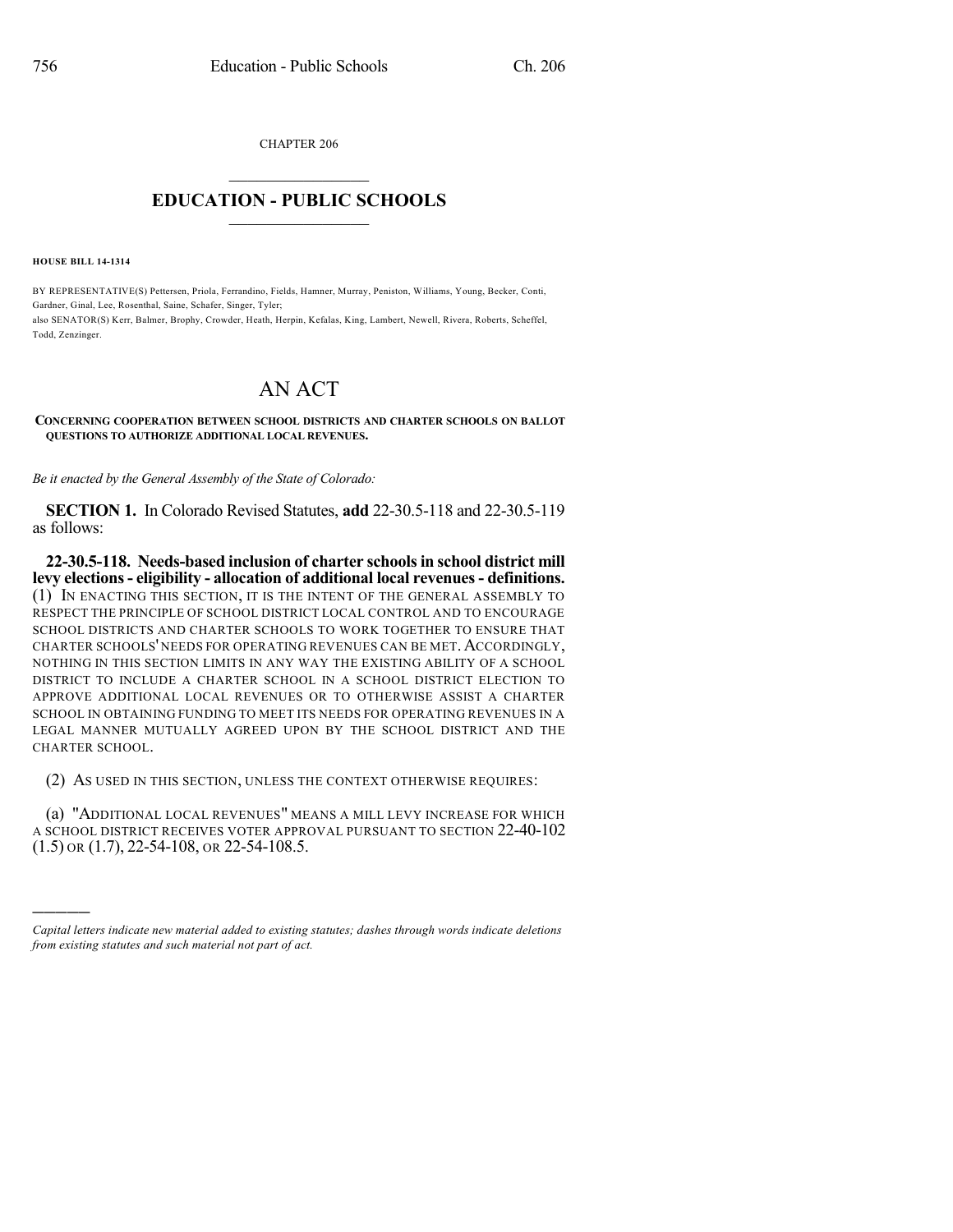CHAPTER 206

## $\mathcal{L}_\text{max}$  . The set of the set of the set of the set of the set of the set of the set of the set of the set of the set of the set of the set of the set of the set of the set of the set of the set of the set of the set **EDUCATION - PUBLIC SCHOOLS**  $\_$   $\_$   $\_$   $\_$   $\_$   $\_$   $\_$   $\_$   $\_$

**HOUSE BILL 14-1314**

)))))

BY REPRESENTATIVE(S) Pettersen, Priola, Ferrandino, Fields, Hamner, Murray, Peniston, Williams, Young, Becker, Conti, Gardner, Ginal, Lee, Rosenthal, Saine, Schafer, Singer, Tyler; also SENATOR(S) Kerr, Balmer, Brophy, Crowder, Heath, Herpin, Kefalas, King, Lambert, Newell, Rivera, Roberts, Scheffel, Todd, Zenzinger.

## AN ACT

## **CONCERNING COOPERATION BETWEEN SCHOOL DISTRICTS AND CHARTER SCHOOLS ON BALLOT QUESTIONS TO AUTHORIZE ADDITIONAL LOCAL REVENUES.**

*Be it enacted by the General Assembly of the State of Colorado:*

**SECTION 1.** In Colorado Revised Statutes, **add** 22-30.5-118 and 22-30.5-119 as follows:

**22-30.5-118. Needs-based inclusion of charter schoolsin school district mill levy elections- eligibility - allocation of additional local revenues- definitions.** (1) IN ENACTING THIS SECTION, IT IS THE INTENT OF THE GENERAL ASSEMBLY TO RESPECT THE PRINCIPLE OF SCHOOL DISTRICT LOCAL CONTROL AND TO ENCOURAGE SCHOOL DISTRICTS AND CHARTER SCHOOLS TO WORK TOGETHER TO ENSURE THAT CHARTER SCHOOLS' NEEDS FOR OPERATING REVENUES CAN BE MET. ACCORDINGLY, NOTHING IN THIS SECTION LIMITS IN ANY WAY THE EXISTING ABILITY OF A SCHOOL DISTRICT TO INCLUDE A CHARTER SCHOOL IN A SCHOOL DISTRICT ELECTION TO APPROVE ADDITIONAL LOCAL REVENUES OR TO OTHERWISE ASSIST A CHARTER SCHOOL IN OBTAINING FUNDING TO MEET ITS NEEDS FOR OPERATING REVENUES IN A LEGAL MANNER MUTUALLY AGREED UPON BY THE SCHOOL DISTRICT AND THE CHARTER SCHOOL.

(2) AS USED IN THIS SECTION, UNLESS THE CONTEXT OTHERWISE REQUIRES:

(a) "ADDITIONAL LOCAL REVENUES" MEANS A MILL LEVY INCREASE FOR WHICH A SCHOOL DISTRICT RECEIVES VOTER APPROVAL PURSUANT TO SECTION 22-40-102 (1.5) OR (1.7), 22-54-108, OR 22-54-108.5.

*Capital letters indicate new material added to existing statutes; dashes through words indicate deletions from existing statutes and such material not part of act.*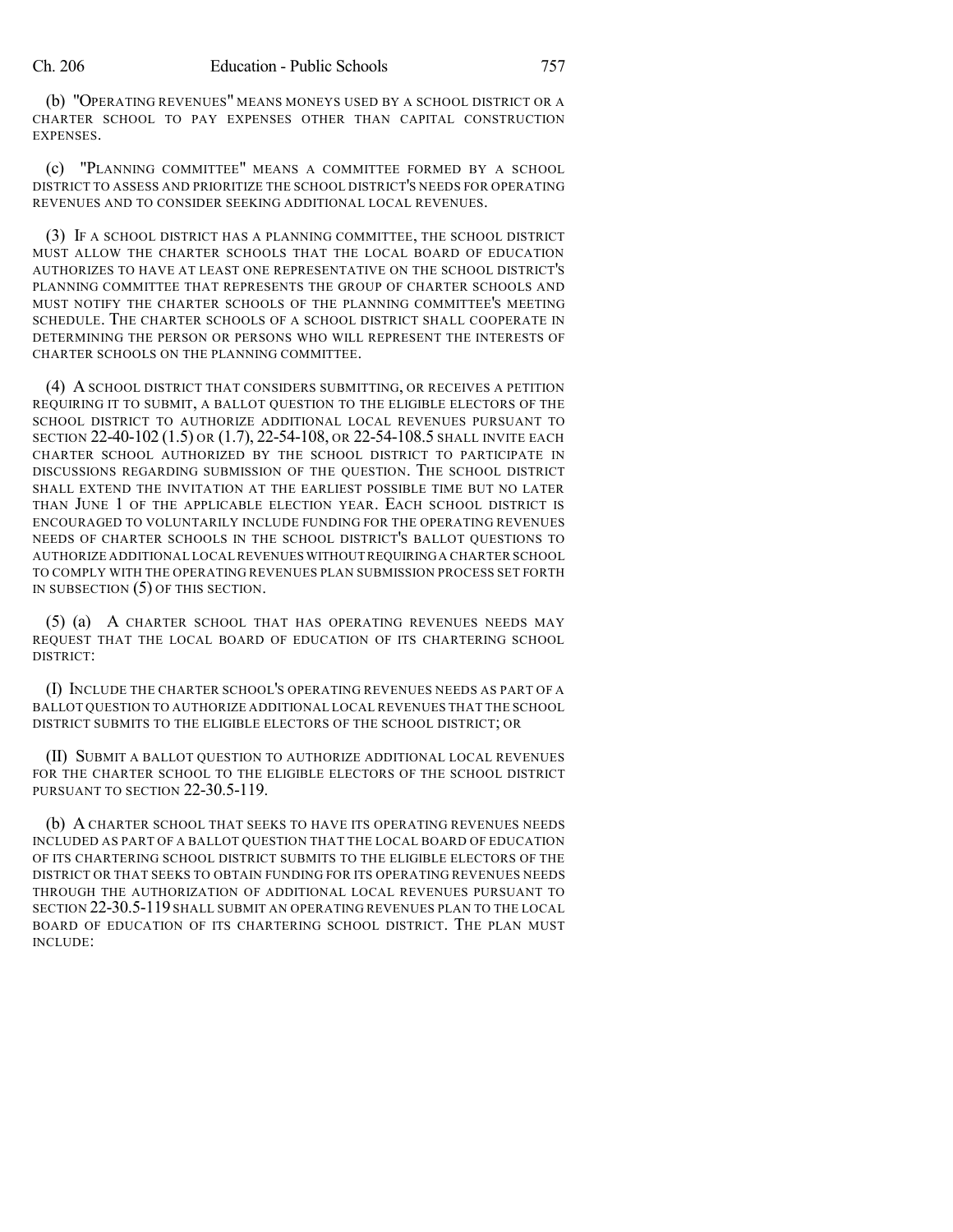(b) "OPERATING REVENUES" MEANS MONEYS USED BY A SCHOOL DISTRICT OR A CHARTER SCHOOL TO PAY EXPENSES OTHER THAN CAPITAL CONSTRUCTION EXPENSES.

(c) "PLANNING COMMITTEE" MEANS A COMMITTEE FORMED BY A SCHOOL DISTRICT TO ASSESS AND PRIORITIZE THE SCHOOL DISTRICT'S NEEDS FOR OPERATING REVENUES AND TO CONSIDER SEEKING ADDITIONAL LOCAL REVENUES.

(3) IF A SCHOOL DISTRICT HAS A PLANNING COMMITTEE, THE SCHOOL DISTRICT MUST ALLOW THE CHARTER SCHOOLS THAT THE LOCAL BOARD OF EDUCATION AUTHORIZES TO HAVE AT LEAST ONE REPRESENTATIVE ON THE SCHOOL DISTRICT'S PLANNING COMMITTEE THAT REPRESENTS THE GROUP OF CHARTER SCHOOLS AND MUST NOTIFY THE CHARTER SCHOOLS OF THE PLANNING COMMITTEE'S MEETING SCHEDULE. THE CHARTER SCHOOLS OF A SCHOOL DISTRICT SHALL COOPERATE IN DETERMINING THE PERSON OR PERSONS WHO WILL REPRESENT THE INTERESTS OF CHARTER SCHOOLS ON THE PLANNING COMMITTEE.

(4) A SCHOOL DISTRICT THAT CONSIDERS SUBMITTING, OR RECEIVES A PETITION REQUIRING IT TO SUBMIT, A BALLOT QUESTION TO THE ELIGIBLE ELECTORS OF THE SCHOOL DISTRICT TO AUTHORIZE ADDITIONAL LOCAL REVENUES PURSUANT TO SECTION 22-40-102 (1.5) OR (1.7), 22-54-108, OR 22-54-108.5 SHALL INVITE EACH CHARTER SCHOOL AUTHORIZED BY THE SCHOOL DISTRICT TO PARTICIPATE IN DISCUSSIONS REGARDING SUBMISSION OF THE QUESTION. THE SCHOOL DISTRICT SHALL EXTEND THE INVITATION AT THE EARLIEST POSSIBLE TIME BUT NO LATER THAN JUNE 1 OF THE APPLICABLE ELECTION YEAR. EACH SCHOOL DISTRICT IS ENCOURAGED TO VOLUNTARILY INCLUDE FUNDING FOR THE OPERATING REVENUES NEEDS OF CHARTER SCHOOLS IN THE SCHOOL DISTRICT'S BALLOT QUESTIONS TO AUTHORIZE ADDITIONAL LOCAL REVENUES WITHOUT REQUIRINGA CHARTER SCHOOL TO COMPLY WITH THE OPERATING REVENUES PLAN SUBMISSION PROCESS SET FORTH IN SUBSECTION (5) OF THIS SECTION.

(5) (a) A CHARTER SCHOOL THAT HAS OPERATING REVENUES NEEDS MAY REQUEST THAT THE LOCAL BOARD OF EDUCATION OF ITS CHARTERING SCHOOL DISTRICT:

(I) INCLUDE THE CHARTER SCHOOL'S OPERATING REVENUES NEEDS AS PART OF A BALLOT QUESTION TO AUTHORIZE ADDITIONAL LOCAL REVENUES THAT THE SCHOOL DISTRICT SUBMITS TO THE ELIGIBLE ELECTORS OF THE SCHOOL DISTRICT; OR

(II) SUBMIT A BALLOT QUESTION TO AUTHORIZE ADDITIONAL LOCAL REVENUES FOR THE CHARTER SCHOOL TO THE ELIGIBLE ELECTORS OF THE SCHOOL DISTRICT PURSUANT TO SECTION 22-30.5-119.

(b) A CHARTER SCHOOL THAT SEEKS TO HAVE ITS OPERATING REVENUES NEEDS INCLUDED AS PART OF A BALLOT QUESTION THAT THE LOCAL BOARD OF EDUCATION OF ITS CHARTERING SCHOOL DISTRICT SUBMITS TO THE ELIGIBLE ELECTORS OF THE DISTRICT OR THAT SEEKS TO OBTAIN FUNDING FOR ITS OPERATING REVENUES NEEDS THROUGH THE AUTHORIZATION OF ADDITIONAL LOCAL REVENUES PURSUANT TO SECTION 22-30.5-119 SHALL SUBMIT AN OPERATING REVENUES PLAN TO THE LOCAL BOARD OF EDUCATION OF ITS CHARTERING SCHOOL DISTRICT. THE PLAN MUST INCLUDE: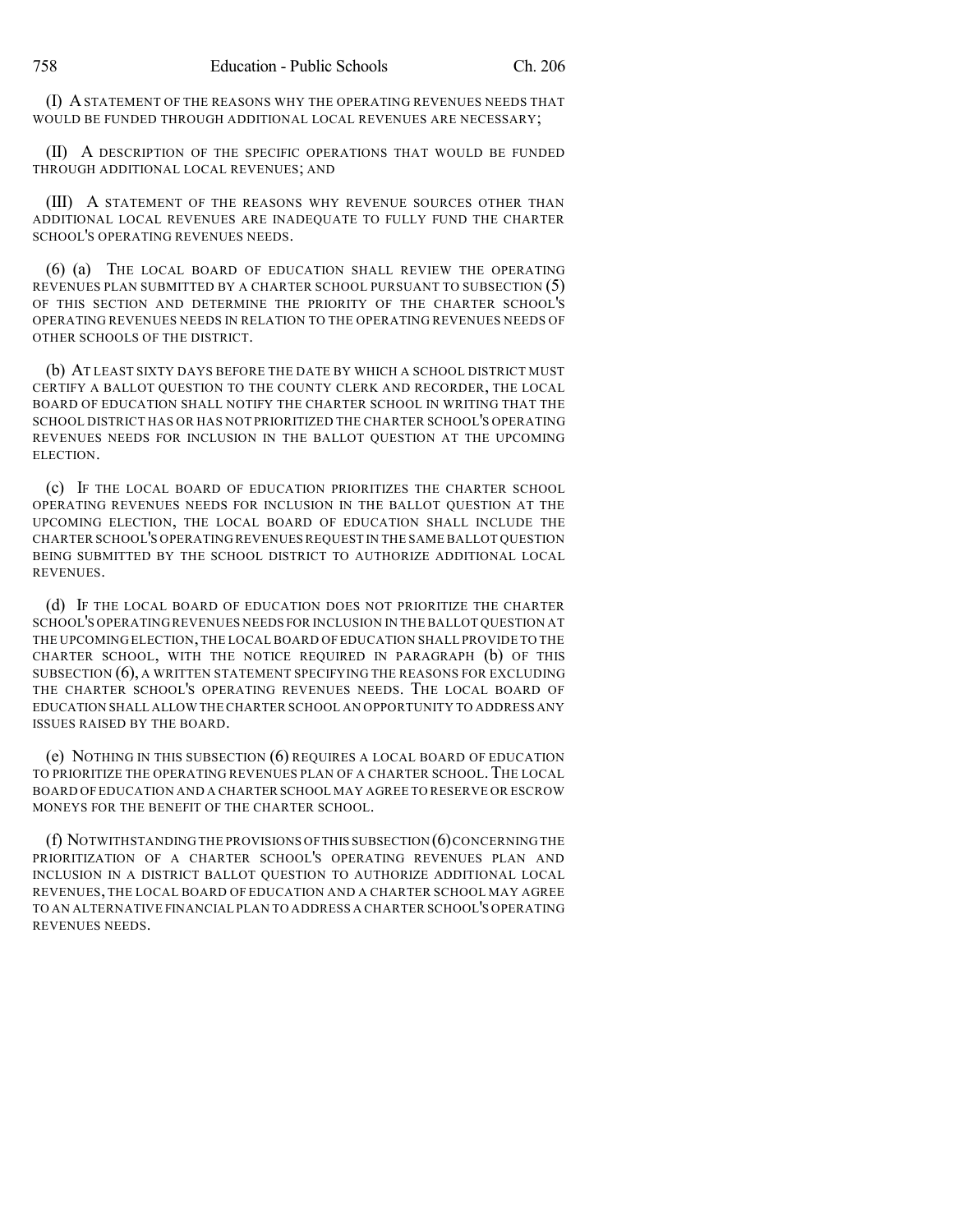(I) ASTATEMENT OF THE REASONS WHY THE OPERATING REVENUES NEEDS THAT WOULD BE FUNDED THROUGH ADDITIONAL LOCAL REVENUES ARE NECESSARY;

(II) A DESCRIPTION OF THE SPECIFIC OPERATIONS THAT WOULD BE FUNDED THROUGH ADDITIONAL LOCAL REVENUES; AND

(III) A STATEMENT OF THE REASONS WHY REVENUE SOURCES OTHER THAN ADDITIONAL LOCAL REVENUES ARE INADEQUATE TO FULLY FUND THE CHARTER SCHOOL'S OPERATING REVENUES NEEDS.

(6) (a) THE LOCAL BOARD OF EDUCATION SHALL REVIEW THE OPERATING REVENUES PLAN SUBMITTED BY A CHARTER SCHOOL PURSUANT TO SUBSECTION (5) OF THIS SECTION AND DETERMINE THE PRIORITY OF THE CHARTER SCHOOL'S OPERATING REVENUES NEEDS IN RELATION TO THE OPERATING REVENUES NEEDS OF OTHER SCHOOLS OF THE DISTRICT.

(b) AT LEAST SIXTY DAYS BEFORE THE DATE BY WHICH A SCHOOL DISTRICT MUST CERTIFY A BALLOT QUESTION TO THE COUNTY CLERK AND RECORDER, THE LOCAL BOARD OF EDUCATION SHALL NOTIFY THE CHARTER SCHOOL IN WRITING THAT THE SCHOOL DISTRICT HAS OR HAS NOT PRIORITIZED THE CHARTER SCHOOL'S OPERATING REVENUES NEEDS FOR INCLUSION IN THE BALLOT QUESTION AT THE UPCOMING ELECTION.

(c) IF THE LOCAL BOARD OF EDUCATION PRIORITIZES THE CHARTER SCHOOL OPERATING REVENUES NEEDS FOR INCLUSION IN THE BALLOT QUESTION AT THE UPCOMING ELECTION, THE LOCAL BOARD OF EDUCATION SHALL INCLUDE THE CHARTER SCHOOL'S OPERATING REVENUES REQUEST IN THE SAME BALLOT QUESTION BEING SUBMITTED BY THE SCHOOL DISTRICT TO AUTHORIZE ADDITIONAL LOCAL REVENUES.

(d) IF THE LOCAL BOARD OF EDUCATION DOES NOT PRIORITIZE THE CHARTER SCHOOL'S OPERATINGREVENUES NEEDS FOR INCLUSION IN THE BALLOT QUESTION AT THE UPCOMING ELECTION,THE LOCAL BOARD OF EDUCATION SHALL PROVIDE TO THE CHARTER SCHOOL, WITH THE NOTICE REQUIRED IN PARAGRAPH (b) OF THIS SUBSECTION (6), A WRITTEN STATEMENT SPECIFYING THE REASONS FOR EXCLUDING THE CHARTER SCHOOL'S OPERATING REVENUES NEEDS. THE LOCAL BOARD OF EDUCATION SHALL ALLOW THECHARTER SCHOOL AN OPPORTUNITY TO ADDRESS ANY ISSUES RAISED BY THE BOARD.

(e) NOTHING IN THIS SUBSECTION (6) REQUIRES A LOCAL BOARD OF EDUCATION TO PRIORITIZE THE OPERATING REVENUES PLAN OF A CHARTER SCHOOL.THE LOCAL BOARD OF EDUCATION AND A CHARTER SCHOOL MAY AGREE TO RESERVE OR ESCROW MONEYS FOR THE BENEFIT OF THE CHARTER SCHOOL.

(f) NOTWITHSTANDING THE PROVISIONS OFTHIS SUBSECTION (6)CONCERNING THE PRIORITIZATION OF A CHARTER SCHOOL'S OPERATING REVENUES PLAN AND INCLUSION IN A DISTRICT BALLOT QUESTION TO AUTHORIZE ADDITIONAL LOCAL REVENUES, THE LOCAL BOARD OF EDUCATION AND A CHARTER SCHOOL MAY AGREE TO AN ALTERNATIVE FINANCIAL PLAN TO ADDRESS A CHARTER SCHOOL'S OPERATING REVENUES NEEDS.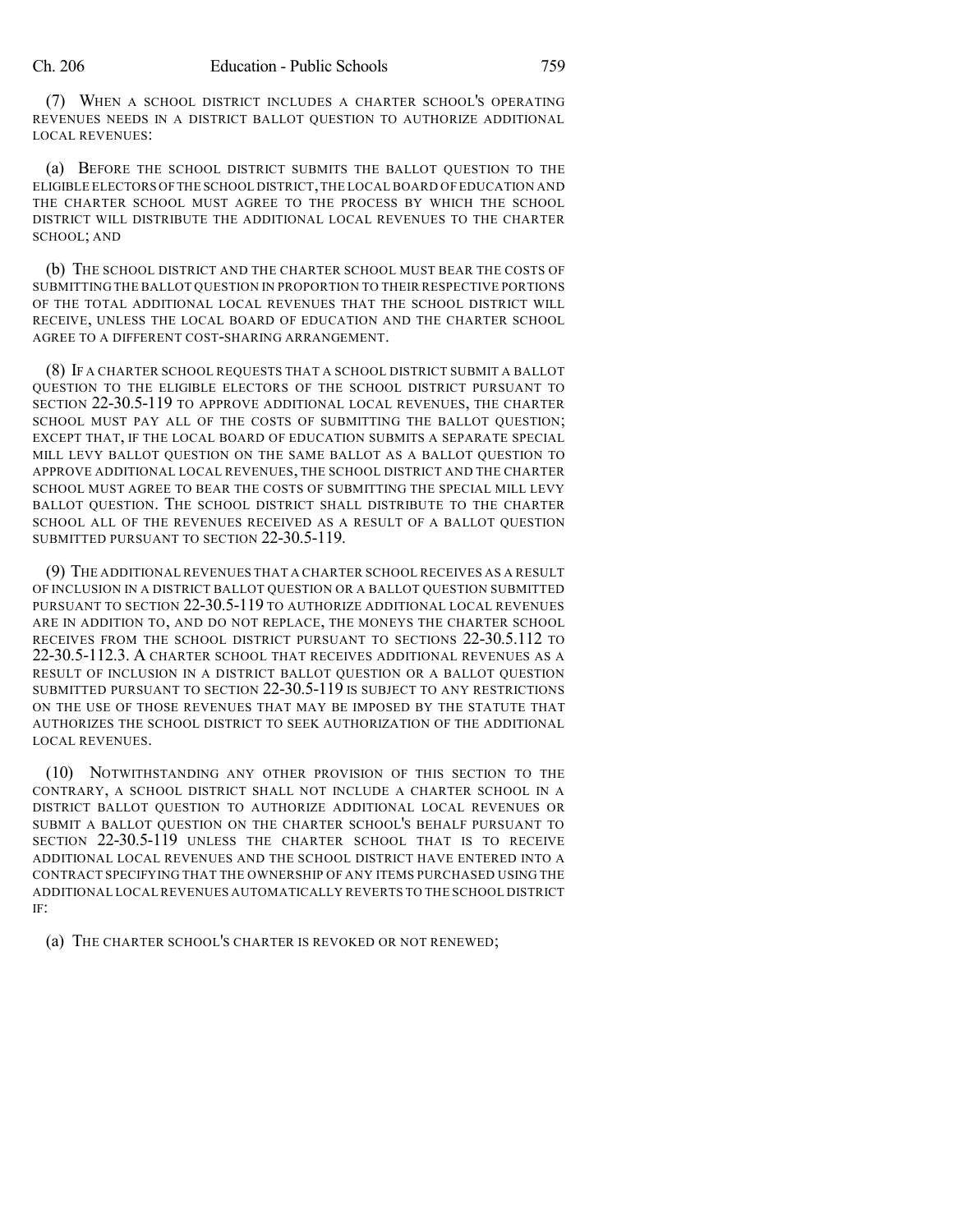(7) WHEN A SCHOOL DISTRICT INCLUDES A CHARTER SCHOOL'S OPERATING REVENUES NEEDS IN A DISTRICT BALLOT QUESTION TO AUTHORIZE ADDITIONAL LOCAL REVENUES:

(a) BEFORE THE SCHOOL DISTRICT SUBMITS THE BALLOT QUESTION TO THE ELIGIBLE ELECTORS OFTHE SCHOOL DISTRICT,THE LOCAL BOARD OF EDUCATION AND THE CHARTER SCHOOL MUST AGREE TO THE PROCESS BY WHICH THE SCHOOL DISTRICT WILL DISTRIBUTE THE ADDITIONAL LOCAL REVENUES TO THE CHARTER SCHOOL; AND

(b) THE SCHOOL DISTRICT AND THE CHARTER SCHOOL MUST BEAR THE COSTS OF SUBMITTING THE BALLOT QUESTION IN PROPORTION TO THEIR RESPECTIVE PORTIONS OF THE TOTAL ADDITIONAL LOCAL REVENUES THAT THE SCHOOL DISTRICT WILL RECEIVE, UNLESS THE LOCAL BOARD OF EDUCATION AND THE CHARTER SCHOOL AGREE TO A DIFFERENT COST-SHARING ARRANGEMENT.

(8) IF A CHARTER SCHOOL REQUESTS THAT A SCHOOL DISTRICT SUBMIT A BALLOT QUESTION TO THE ELIGIBLE ELECTORS OF THE SCHOOL DISTRICT PURSUANT TO SECTION 22-30.5-119 TO APPROVE ADDITIONAL LOCAL REVENUES, THE CHARTER SCHOOL MUST PAY ALL OF THE COSTS OF SUBMITTING THE BALLOT QUESTION; EXCEPT THAT, IF THE LOCAL BOARD OF EDUCATION SUBMITS A SEPARATE SPECIAL MILL LEVY BALLOT QUESTION ON THE SAME BALLOT AS A BALLOT QUESTION TO APPROVE ADDITIONAL LOCAL REVENUES, THE SCHOOL DISTRICT AND THE CHARTER SCHOOL MUST AGREE TO BEAR THE COSTS OF SUBMITTING THE SPECIAL MILL LEVY BALLOT QUESTION. THE SCHOOL DISTRICT SHALL DISTRIBUTE TO THE CHARTER SCHOOL ALL OF THE REVENUES RECEIVED AS A RESULT OF A BALLOT QUESTION SUBMITTED PURSUANT TO SECTION 22-30.5-119.

(9) THE ADDITIONAL REVENUES THAT A CHARTER SCHOOL RECEIVES AS A RESULT OF INCLUSION IN A DISTRICT BALLOT QUESTION OR A BALLOT QUESTION SUBMITTED PURSUANT TO SECTION 22-30.5-119 TO AUTHORIZE ADDITIONAL LOCAL REVENUES ARE IN ADDITION TO, AND DO NOT REPLACE, THE MONEYS THE CHARTER SCHOOL RECEIVES FROM THE SCHOOL DISTRICT PURSUANT TO SECTIONS 22-30.5.112 TO 22-30.5-112.3. A CHARTER SCHOOL THAT RECEIVES ADDITIONAL REVENUES AS A RESULT OF INCLUSION IN A DISTRICT BALLOT QUESTION OR A BALLOT QUESTION SUBMITTED PURSUANT TO SECTION 22-30.5-119 IS SUBJECT TO ANY RESTRICTIONS ON THE USE OF THOSE REVENUES THAT MAY BE IMPOSED BY THE STATUTE THAT AUTHORIZES THE SCHOOL DISTRICT TO SEEK AUTHORIZATION OF THE ADDITIONAL LOCAL REVENUES.

(10) NOTWITHSTANDING ANY OTHER PROVISION OF THIS SECTION TO THE CONTRARY, A SCHOOL DISTRICT SHALL NOT INCLUDE A CHARTER SCHOOL IN A DISTRICT BALLOT QUESTION TO AUTHORIZE ADDITIONAL LOCAL REVENUES OR SUBMIT A BALLOT QUESTION ON THE CHARTER SCHOOL'S BEHALF PURSUANT TO SECTION 22-30.5-119 UNLESS THE CHARTER SCHOOL THAT IS TO RECEIVE ADDITIONAL LOCAL REVENUES AND THE SCHOOL DISTRICT HAVE ENTERED INTO A CONTRACT SPECIFYING THAT THE OWNERSHIP OF ANY ITEMS PURCHASED USING THE ADDITIONAL LOCALREVENUES AUTOMATICALLY REVERTS TO THE SCHOOL DISTRICT IF:

(a) THE CHARTER SCHOOL'S CHARTER IS REVOKED OR NOT RENEWED;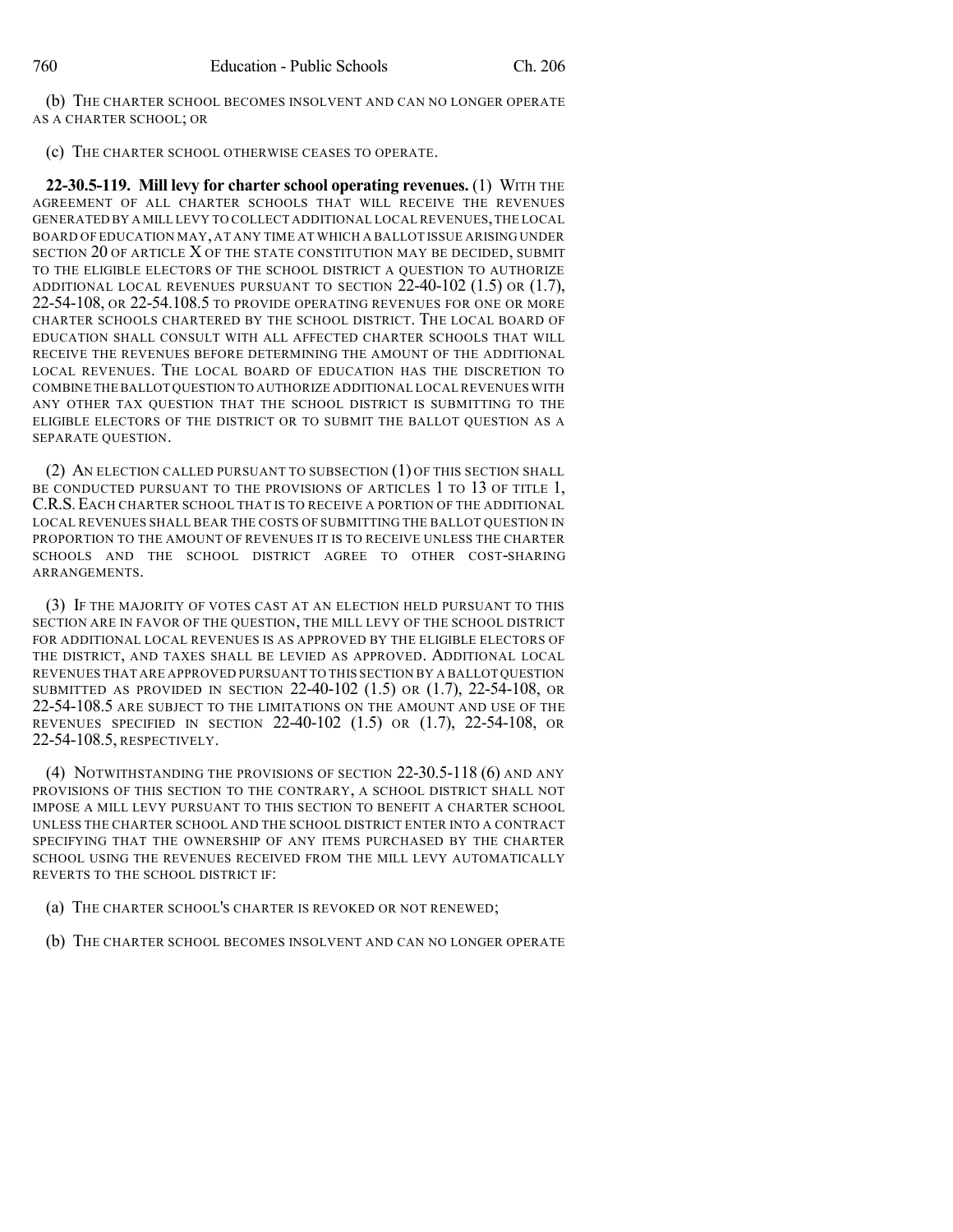(b) THE CHARTER SCHOOL BECOMES INSOLVENT AND CAN NO LONGER OPERATE AS A CHARTER SCHOOL; OR

(c) THE CHARTER SCHOOL OTHERWISE CEASES TO OPERATE.

**22-30.5-119. Mill levy for charter school operating revenues.** (1) WITH THE AGREEMENT OF ALL CHARTER SCHOOLS THAT WILL RECEIVE THE REVENUES GENERATED BY A MILL LEVY TO COLLECT ADDITIONAL LOCAL REVENUES,THE LOCAL BOARD OF EDUCATION MAY, AT ANY TIME AT WHICH A BALLOT ISSUE ARISING UNDER SECTION 20 OF ARTICLE X OF THE STATE CONSTITUTION MAY BE DECIDED, SUBMIT TO THE ELIGIBLE ELECTORS OF THE SCHOOL DISTRICT A QUESTION TO AUTHORIZE ADDITIONAL LOCAL REVENUES PURSUANT TO SECTION 22-40-102 (1.5) OR (1.7), 22-54-108, OR 22-54.108.5 TO PROVIDE OPERATING REVENUES FOR ONE OR MORE CHARTER SCHOOLS CHARTERED BY THE SCHOOL DISTRICT. THE LOCAL BOARD OF EDUCATION SHALL CONSULT WITH ALL AFFECTED CHARTER SCHOOLS THAT WILL RECEIVE THE REVENUES BEFORE DETERMINING THE AMOUNT OF THE ADDITIONAL LOCAL REVENUES. THE LOCAL BOARD OF EDUCATION HAS THE DISCRETION TO COMBINE THE BALLOT QUESTION TO AUTHORIZE ADDITIONAL LOCAL REVENUES WITH ANY OTHER TAX QUESTION THAT THE SCHOOL DISTRICT IS SUBMITTING TO THE ELIGIBLE ELECTORS OF THE DISTRICT OR TO SUBMIT THE BALLOT QUESTION AS A SEPARATE QUESTION.

(2) AN ELECTION CALLED PURSUANT TO SUBSECTION (1) OF THIS SECTION SHALL BE CONDUCTED PURSUANT TO THE PROVISIONS OF ARTICLES 1 TO 13 OF TITLE 1, C.R.S.EACH CHARTER SCHOOL THAT IS TO RECEIVE A PORTION OF THE ADDITIONAL LOCAL REVENUES SHALL BEAR THE COSTS OF SUBMITTING THE BALLOT QUESTION IN PROPORTION TO THE AMOUNT OF REVENUES IT IS TO RECEIVE UNLESS THE CHARTER SCHOOLS AND THE SCHOOL DISTRICT AGREE TO OTHER COST-SHARING ARRANGEMENTS.

(3) IF THE MAJORITY OF VOTES CAST AT AN ELECTION HELD PURSUANT TO THIS SECTION ARE IN FAVOR OF THE QUESTION, THE MILL LEVY OF THE SCHOOL DISTRICT FOR ADDITIONAL LOCAL REVENUES IS AS APPROVED BY THE ELIGIBLE ELECTORS OF THE DISTRICT, AND TAXES SHALL BE LEVIED AS APPROVED. ADDITIONAL LOCAL REVENUES THAT ARE APPROVED PURSUANT TO THIS SECTION BY A BALLOT QUESTION SUBMITTED AS PROVIDED IN SECTION 22-40-102 (1.5) OR (1.7), 22-54-108, OR 22-54-108.5 ARE SUBJECT TO THE LIMITATIONS ON THE AMOUNT AND USE OF THE REVENUES SPECIFIED IN SECTION 22-40-102  $(1.5)$  or  $(1.7)$ , 22-54-108, OR 22-54-108.5, RESPECTIVELY.

(4) NOTWITHSTANDING THE PROVISIONS OF SECTION 22-30.5-118 (6) AND ANY PROVISIONS OF THIS SECTION TO THE CONTRARY, A SCHOOL DISTRICT SHALL NOT IMPOSE A MILL LEVY PURSUANT TO THIS SECTION TO BENEFIT A CHARTER SCHOOL UNLESS THE CHARTER SCHOOL AND THE SCHOOL DISTRICT ENTER INTO A CONTRACT SPECIFYING THAT THE OWNERSHIP OF ANY ITEMS PURCHASED BY THE CHARTER SCHOOL USING THE REVENUES RECEIVED FROM THE MILL LEVY AUTOMATICALLY REVERTS TO THE SCHOOL DISTRICT IF:

- (a) THE CHARTER SCHOOL'S CHARTER IS REVOKED OR NOT RENEWED;
- (b) THE CHARTER SCHOOL BECOMES INSOLVENT AND CAN NO LONGER OPERATE